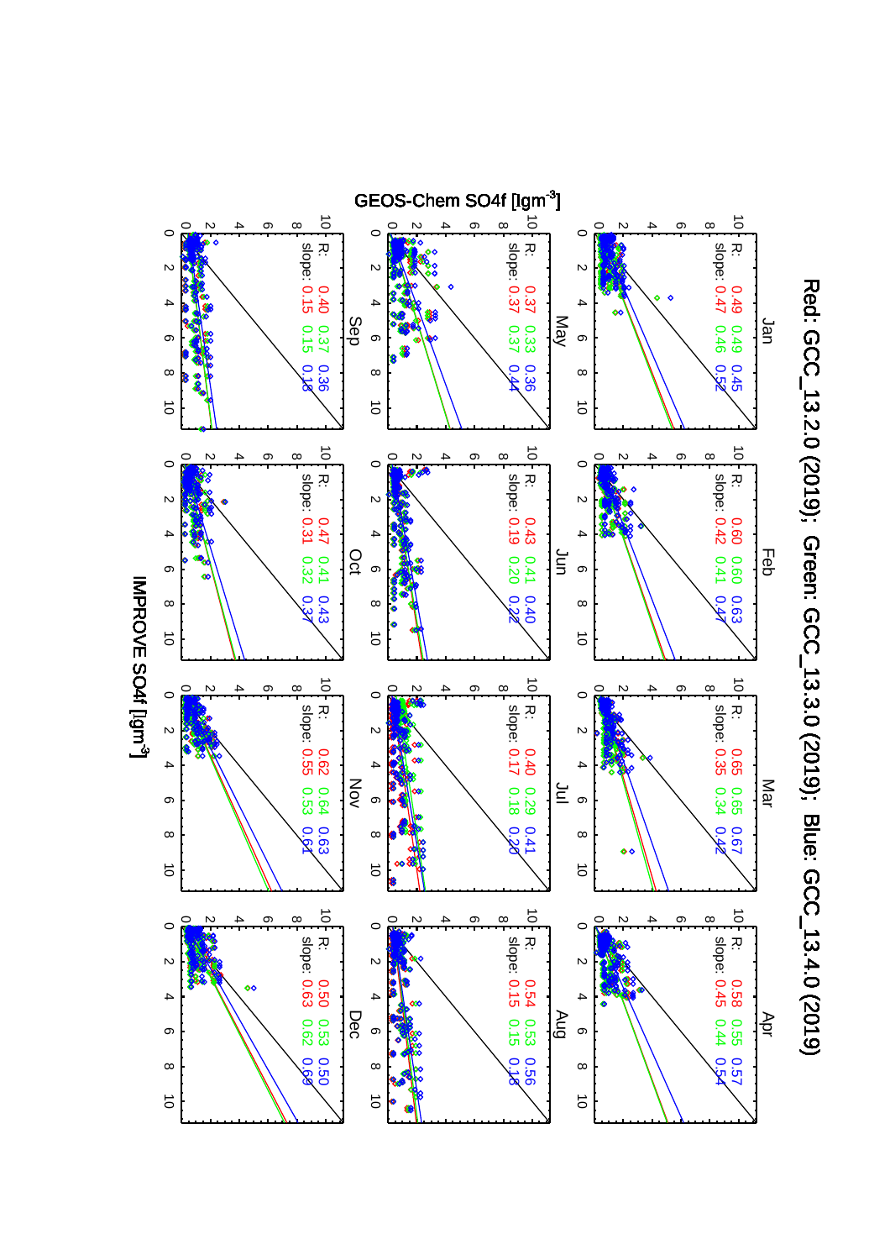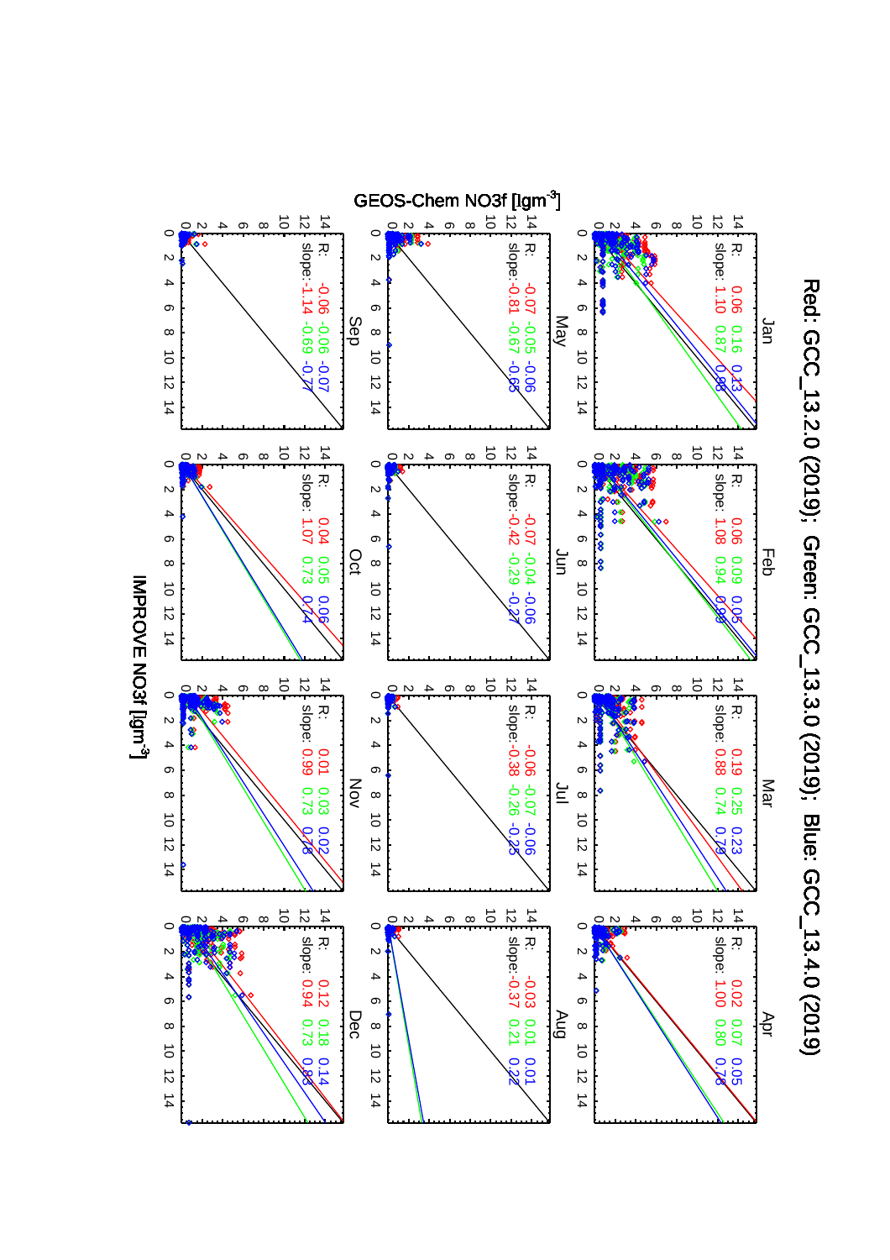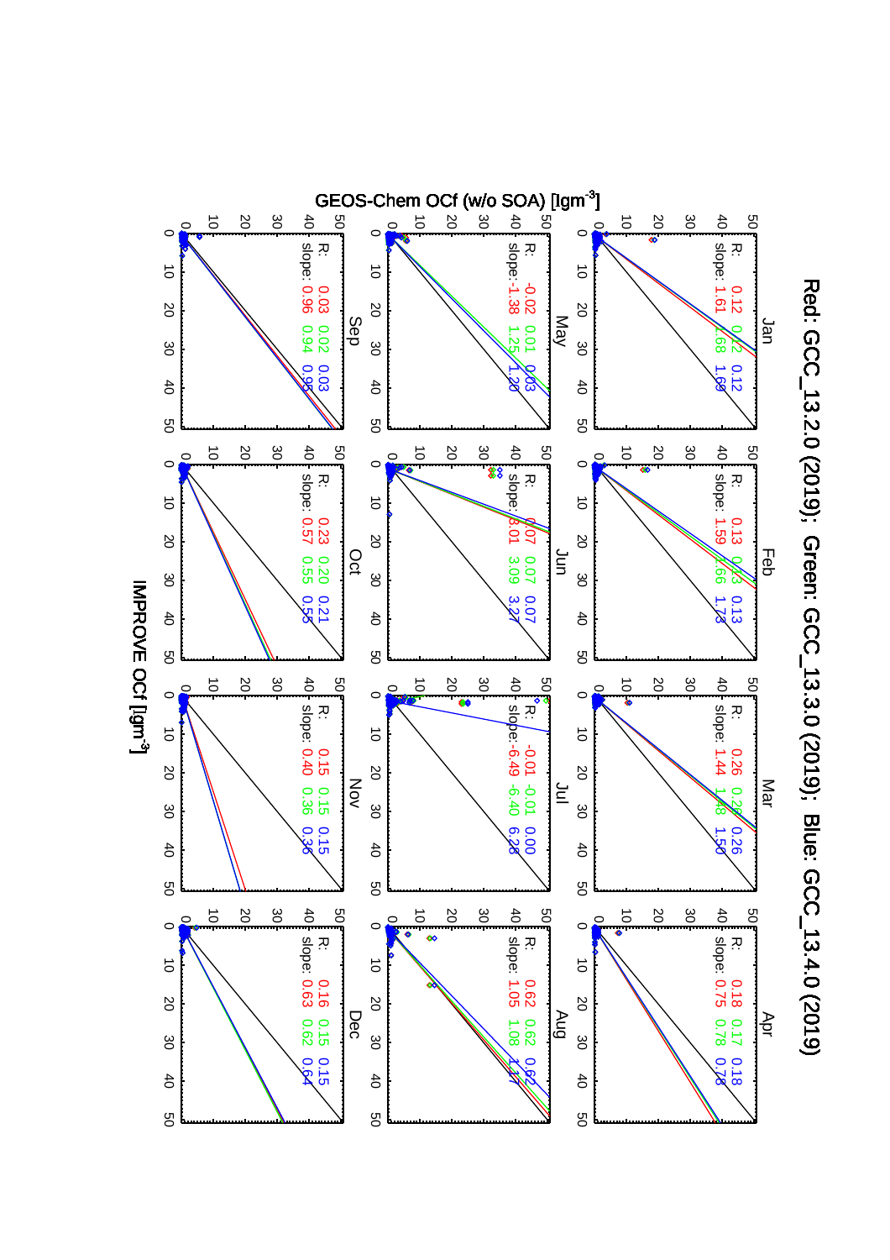

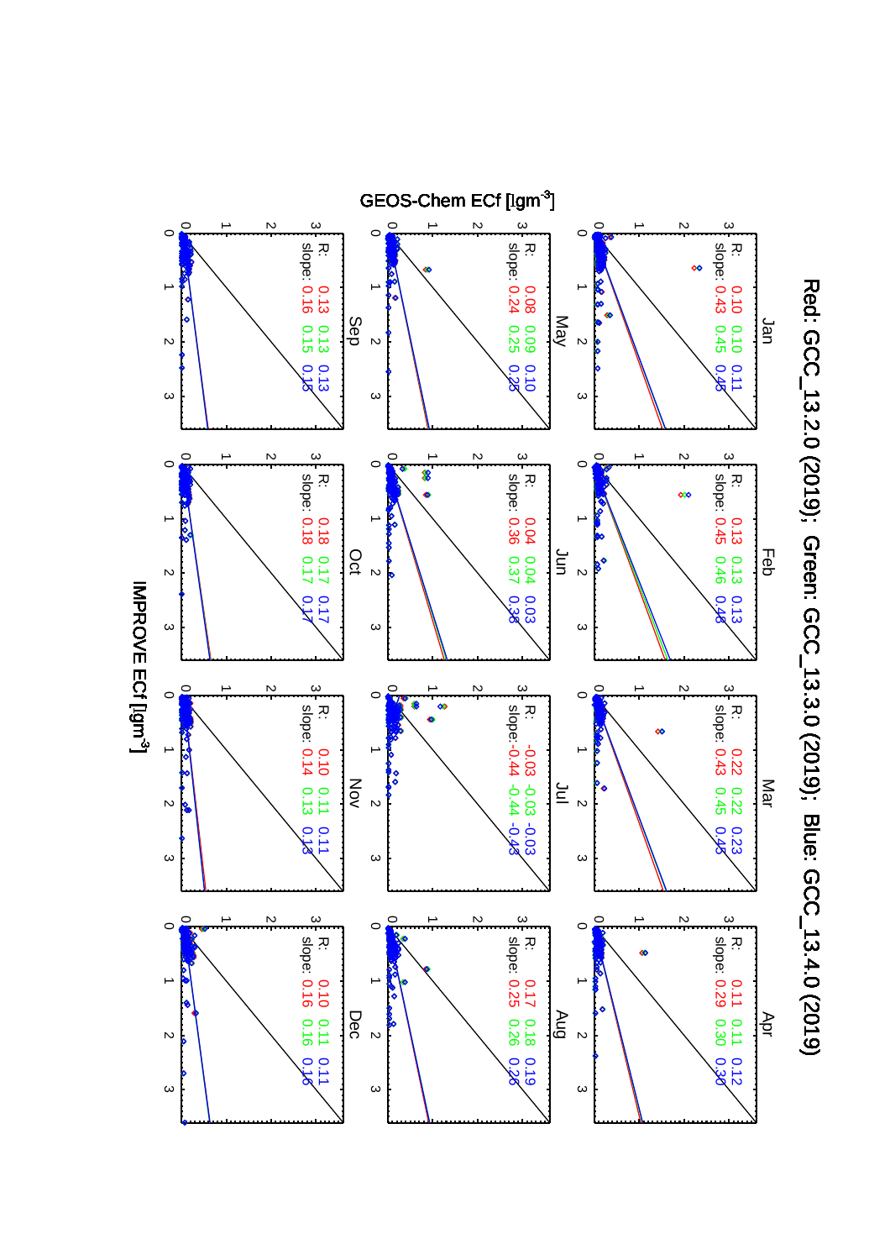